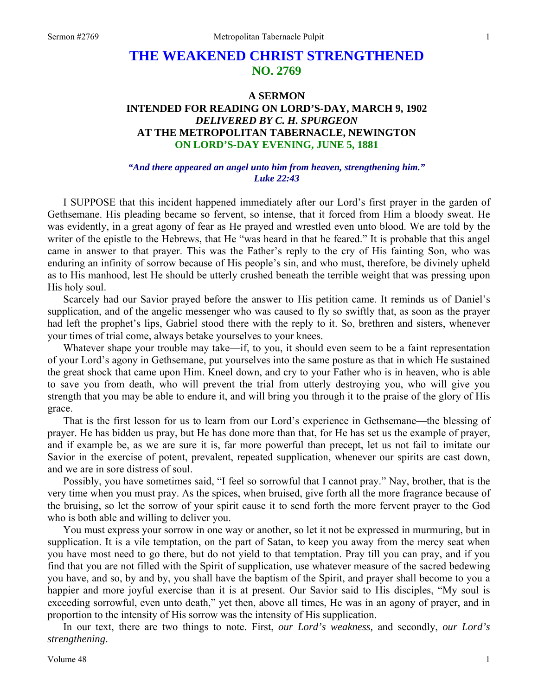# **THE WEAKENED CHRIST STRENGTHENED NO. 2769**

# **A SERMON INTENDED FOR READING ON LORD'S-DAY, MARCH 9, 1902**  *DELIVERED BY C. H. SPURGEON*  **AT THE METROPOLITAN TABERNACLE, NEWINGTON ON LORD'S-DAY EVENING, JUNE 5, 1881**

#### *"And there appeared an angel unto him from heaven, strengthening him." Luke 22:43*

I SUPPOSE that this incident happened immediately after our Lord's first prayer in the garden of Gethsemane. His pleading became so fervent, so intense, that it forced from Him a bloody sweat. He was evidently, in a great agony of fear as He prayed and wrestled even unto blood. We are told by the writer of the epistle to the Hebrews, that He "was heard in that he feared." It is probable that this angel came in answer to that prayer. This was the Father's reply to the cry of His fainting Son, who was enduring an infinity of sorrow because of His people's sin, and who must, therefore, be divinely upheld as to His manhood, lest He should be utterly crushed beneath the terrible weight that was pressing upon His holy soul.

Scarcely had our Savior prayed before the answer to His petition came. It reminds us of Daniel's supplication, and of the angelic messenger who was caused to fly so swiftly that, as soon as the prayer had left the prophet's lips, Gabriel stood there with the reply to it. So, brethren and sisters, whenever your times of trial come, always betake yourselves to your knees.

Whatever shape your trouble may take—if, to you, it should even seem to be a faint representation of your Lord's agony in Gethsemane, put yourselves into the same posture as that in which He sustained the great shock that came upon Him. Kneel down, and cry to your Father who is in heaven, who is able to save you from death, who will prevent the trial from utterly destroying you, who will give you strength that you may be able to endure it, and will bring you through it to the praise of the glory of His grace.

That is the first lesson for us to learn from our Lord's experience in Gethsemane—the blessing of prayer. He has bidden us pray, but He has done more than that, for He has set us the example of prayer, and if example be, as we are sure it is, far more powerful than precept, let us not fail to imitate our Savior in the exercise of potent, prevalent, repeated supplication, whenever our spirits are cast down, and we are in sore distress of soul.

Possibly, you have sometimes said, "I feel so sorrowful that I cannot pray." Nay, brother, that is the very time when you must pray. As the spices, when bruised, give forth all the more fragrance because of the bruising, so let the sorrow of your spirit cause it to send forth the more fervent prayer to the God who is both able and willing to deliver you.

You must express your sorrow in one way or another, so let it not be expressed in murmuring, but in supplication. It is a vile temptation, on the part of Satan, to keep you away from the mercy seat when you have most need to go there, but do not yield to that temptation. Pray till you can pray, and if you find that you are not filled with the Spirit of supplication, use whatever measure of the sacred bedewing you have, and so, by and by, you shall have the baptism of the Spirit, and prayer shall become to you a happier and more joyful exercise than it is at present. Our Savior said to His disciples, "My soul is exceeding sorrowful, even unto death," yet then, above all times, He was in an agony of prayer, and in proportion to the intensity of His sorrow was the intensity of His supplication.

In our text, there are two things to note. First, *our Lord's weakness,* and secondly, *our Lord's strengthening*.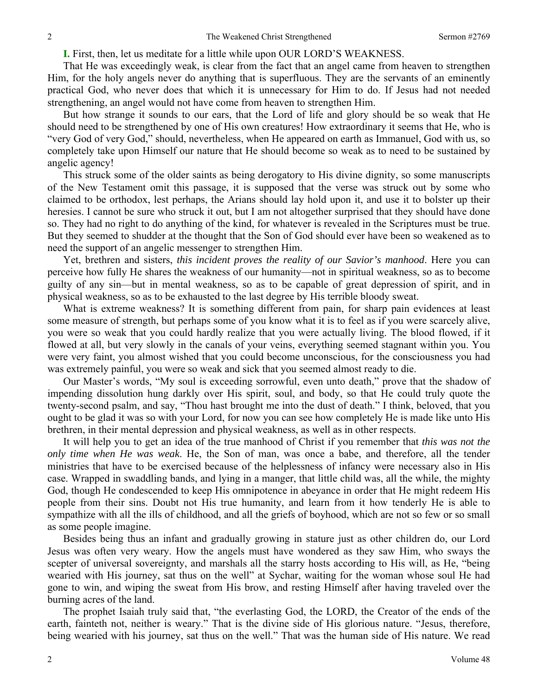**I.** First, then, let us meditate for a little while upon OUR LORD'S WEAKNESS.

That He was exceedingly weak, is clear from the fact that an angel came from heaven to strengthen Him, for the holy angels never do anything that is superfluous. They are the servants of an eminently practical God, who never does that which it is unnecessary for Him to do. If Jesus had not needed strengthening, an angel would not have come from heaven to strengthen Him.

But how strange it sounds to our ears, that the Lord of life and glory should be so weak that He should need to be strengthened by one of His own creatures! How extraordinary it seems that He, who is "very God of very God," should, nevertheless, when He appeared on earth as Immanuel, God with us, so completely take upon Himself our nature that He should become so weak as to need to be sustained by angelic agency!

This struck some of the older saints as being derogatory to His divine dignity, so some manuscripts of the New Testament omit this passage, it is supposed that the verse was struck out by some who claimed to be orthodox, lest perhaps, the Arians should lay hold upon it, and use it to bolster up their heresies. I cannot be sure who struck it out, but I am not altogether surprised that they should have done so. They had no right to do anything of the kind, for whatever is revealed in the Scriptures must be true. But they seemed to shudder at the thought that the Son of God should ever have been so weakened as to need the support of an angelic messenger to strengthen Him.

Yet, brethren and sisters, *this incident proves the reality of our Savior's manhood*. Here you can perceive how fully He shares the weakness of our humanity—not in spiritual weakness, so as to become guilty of any sin—but in mental weakness, so as to be capable of great depression of spirit, and in physical weakness, so as to be exhausted to the last degree by His terrible bloody sweat.

What is extreme weakness? It is something different from pain, for sharp pain evidences at least some measure of strength, but perhaps some of you know what it is to feel as if you were scarcely alive, you were so weak that you could hardly realize that you were actually living. The blood flowed, if it flowed at all, but very slowly in the canals of your veins, everything seemed stagnant within you. You were very faint, you almost wished that you could become unconscious, for the consciousness you had was extremely painful, you were so weak and sick that you seemed almost ready to die.

Our Master's words, "My soul is exceeding sorrowful, even unto death," prove that the shadow of impending dissolution hung darkly over His spirit, soul, and body, so that He could truly quote the twenty-second psalm, and say, "Thou hast brought me into the dust of death." I think, beloved, that you ought to be glad it was so with your Lord, for now you can see how completely He is made like unto His brethren, in their mental depression and physical weakness, as well as in other respects.

It will help you to get an idea of the true manhood of Christ if you remember that *this was not the only time when He was weak*. He, the Son of man, was once a babe, and therefore, all the tender ministries that have to be exercised because of the helplessness of infancy were necessary also in His case. Wrapped in swaddling bands, and lying in a manger, that little child was, all the while, the mighty God, though He condescended to keep His omnipotence in abeyance in order that He might redeem His people from their sins. Doubt not His true humanity, and learn from it how tenderly He is able to sympathize with all the ills of childhood, and all the griefs of boyhood, which are not so few or so small as some people imagine.

Besides being thus an infant and gradually growing in stature just as other children do, our Lord Jesus was often very weary. How the angels must have wondered as they saw Him, who sways the scepter of universal sovereignty, and marshals all the starry hosts according to His will, as He, "being wearied with His journey, sat thus on the well" at Sychar, waiting for the woman whose soul He had gone to win, and wiping the sweat from His brow, and resting Himself after having traveled over the burning acres of the land.

The prophet Isaiah truly said that, "the everlasting God, the LORD, the Creator of the ends of the earth, fainteth not, neither is weary." That is the divine side of His glorious nature. "Jesus, therefore, being wearied with his journey, sat thus on the well." That was the human side of His nature. We read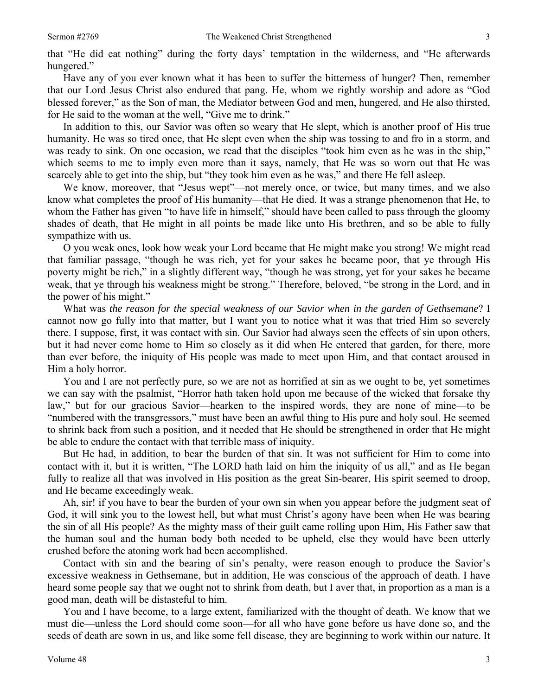Have any of you ever known what it has been to suffer the bitterness of hunger? Then, remember that our Lord Jesus Christ also endured that pang. He, whom we rightly worship and adore as "God blessed forever," as the Son of man, the Mediator between God and men, hungered, and He also thirsted, for He said to the woman at the well, "Give me to drink."

In addition to this, our Savior was often so weary that He slept, which is another proof of His true humanity. He was so tired once, that He slept even when the ship was tossing to and fro in a storm, and was ready to sink. On one occasion, we read that the disciples "took him even as he was in the ship," which seems to me to imply even more than it says, namely, that He was so worn out that He was scarcely able to get into the ship, but "they took him even as he was," and there He fell asleep.

We know, moreover, that "Jesus wept"—not merely once, or twice, but many times, and we also know what completes the proof of His humanity—that He died. It was a strange phenomenon that He, to whom the Father has given "to have life in himself," should have been called to pass through the gloomy shades of death, that He might in all points be made like unto His brethren, and so be able to fully sympathize with us.

O you weak ones, look how weak your Lord became that He might make you strong! We might read that familiar passage, "though he was rich, yet for your sakes he became poor, that ye through His poverty might be rich," in a slightly different way, "though he was strong, yet for your sakes he became weak, that ye through his weakness might be strong." Therefore, beloved, "be strong in the Lord, and in the power of his might."

What was *the reason for the special weakness of our Savior when in the garden of Gethsemane*? I cannot now go fully into that matter, but I want you to notice what it was that tried Him so severely there. I suppose, first, it was contact with sin. Our Savior had always seen the effects of sin upon others, but it had never come home to Him so closely as it did when He entered that garden, for there, more than ever before, the iniquity of His people was made to meet upon Him, and that contact aroused in Him a holy horror.

You and I are not perfectly pure, so we are not as horrified at sin as we ought to be, yet sometimes we can say with the psalmist, "Horror hath taken hold upon me because of the wicked that forsake thy law," but for our gracious Savior—hearken to the inspired words, they are none of mine—to be "numbered with the transgressors," must have been an awful thing to His pure and holy soul. He seemed to shrink back from such a position, and it needed that He should be strengthened in order that He might be able to endure the contact with that terrible mass of iniquity.

But He had, in addition, to bear the burden of that sin. It was not sufficient for Him to come into contact with it, but it is written, "The LORD hath laid on him the iniquity of us all," and as He began fully to realize all that was involved in His position as the great Sin-bearer, His spirit seemed to droop, and He became exceedingly weak.

Ah, sir! if you have to bear the burden of your own sin when you appear before the judgment seat of God, it will sink you to the lowest hell, but what must Christ's agony have been when He was bearing the sin of all His people? As the mighty mass of their guilt came rolling upon Him, His Father saw that the human soul and the human body both needed to be upheld, else they would have been utterly crushed before the atoning work had been accomplished.

Contact with sin and the bearing of sin's penalty, were reason enough to produce the Savior's excessive weakness in Gethsemane, but in addition, He was conscious of the approach of death. I have heard some people say that we ought not to shrink from death, but I aver that, in proportion as a man is a good man, death will be distasteful to him.

You and I have become, to a large extent, familiarized with the thought of death. We know that we must die—unless the Lord should come soon—for all who have gone before us have done so, and the seeds of death are sown in us, and like some fell disease, they are beginning to work within our nature. It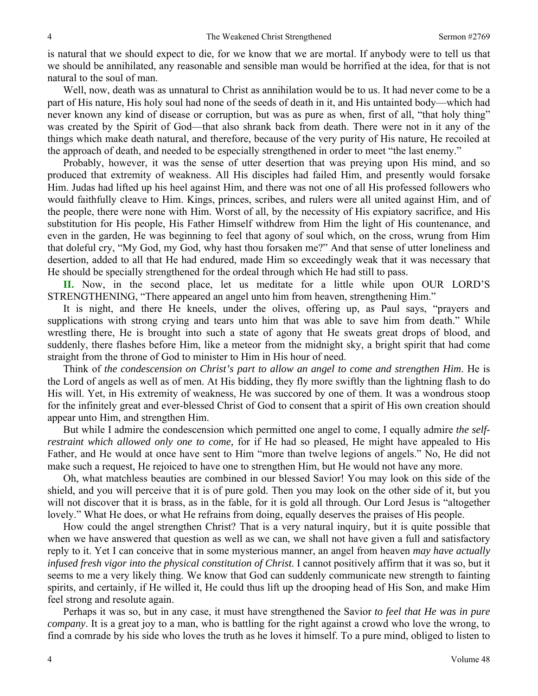is natural that we should expect to die, for we know that we are mortal. If anybody were to tell us that we should be annihilated, any reasonable and sensible man would be horrified at the idea, for that is not natural to the soul of man.

Well, now, death was as unnatural to Christ as annihilation would be to us. It had never come to be a part of His nature, His holy soul had none of the seeds of death in it, and His untainted body—which had never known any kind of disease or corruption, but was as pure as when, first of all, "that holy thing" was created by the Spirit of God—that also shrank back from death. There were not in it any of the things which make death natural, and therefore, because of the very purity of His nature, He recoiled at the approach of death, and needed to be especially strengthened in order to meet "the last enemy."

Probably, however, it was the sense of utter desertion that was preying upon His mind, and so produced that extremity of weakness. All His disciples had failed Him, and presently would forsake Him. Judas had lifted up his heel against Him, and there was not one of all His professed followers who would faithfully cleave to Him. Kings, princes, scribes, and rulers were all united against Him, and of the people, there were none with Him. Worst of all, by the necessity of His expiatory sacrifice, and His substitution for His people, His Father Himself withdrew from Him the light of His countenance, and even in the garden, He was beginning to feel that agony of soul which, on the cross, wrung from Him that doleful cry, "My God, my God, why hast thou forsaken me?" And that sense of utter loneliness and desertion, added to all that He had endured, made Him so exceedingly weak that it was necessary that He should be specially strengthened for the ordeal through which He had still to pass.

**II.** Now, in the second place, let us meditate for a little while upon OUR LORD'S STRENGTHENING, "There appeared an angel unto him from heaven, strengthening Him."

It is night, and there He kneels, under the olives, offering up, as Paul says, "prayers and supplications with strong crying and tears unto him that was able to save him from death." While wrestling there, He is brought into such a state of agony that He sweats great drops of blood, and suddenly, there flashes before Him, like a meteor from the midnight sky, a bright spirit that had come straight from the throne of God to minister to Him in His hour of need.

Think of *the condescension on Christ's part to allow an angel to come and strengthen Him*. He is the Lord of angels as well as of men. At His bidding, they fly more swiftly than the lightning flash to do His will. Yet, in His extremity of weakness, He was succored by one of them. It was a wondrous stoop for the infinitely great and ever-blessed Christ of God to consent that a spirit of His own creation should appear unto Him, and strengthen Him.

But while I admire the condescension which permitted one angel to come, I equally admire *the selfrestraint which allowed only one to come,* for if He had so pleased, He might have appealed to His Father, and He would at once have sent to Him "more than twelve legions of angels." No, He did not make such a request, He rejoiced to have one to strengthen Him, but He would not have any more.

Oh, what matchless beauties are combined in our blessed Savior! You may look on this side of the shield, and you will perceive that it is of pure gold. Then you may look on the other side of it, but you will not discover that it is brass, as in the fable, for it is gold all through. Our Lord Jesus is "altogether lovely." What He does, or what He refrains from doing, equally deserves the praises of His people.

How could the angel strengthen Christ? That is a very natural inquiry, but it is quite possible that when we have answered that question as well as we can, we shall not have given a full and satisfactory reply to it. Yet I can conceive that in some mysterious manner, an angel from heaven *may have actually infused fresh vigor into the physical constitution of Christ*. I cannot positively affirm that it was so, but it seems to me a very likely thing. We know that God can suddenly communicate new strength to fainting spirits, and certainly, if He willed it, He could thus lift up the drooping head of His Son, and make Him feel strong and resolute again.

Perhaps it was so, but in any case, it must have strengthened the Savior *to feel that He was in pure company*. It is a great joy to a man, who is battling for the right against a crowd who love the wrong, to find a comrade by his side who loves the truth as he loves it himself. To a pure mind, obliged to listen to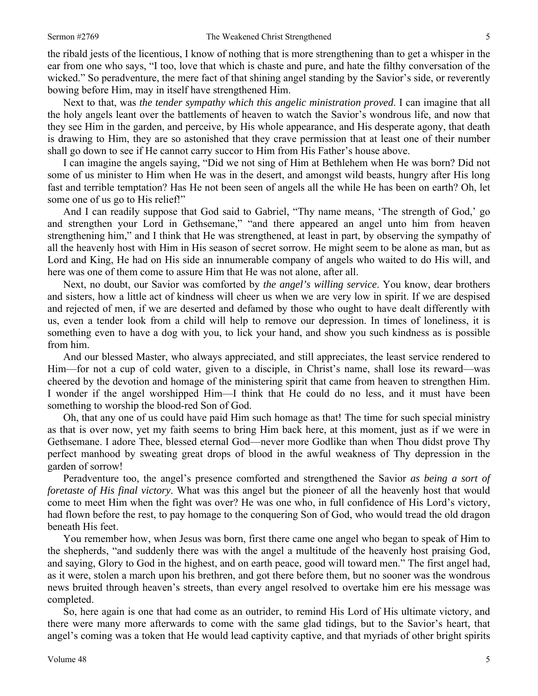the ribald jests of the licentious, I know of nothing that is more strengthening than to get a whisper in the ear from one who says, "I too, love that which is chaste and pure, and hate the filthy conversation of the wicked." So peradventure, the mere fact of that shining angel standing by the Savior's side, or reverently bowing before Him, may in itself have strengthened Him.

Next to that, was *the tender sympathy which this angelic ministration proved*. I can imagine that all the holy angels leant over the battlements of heaven to watch the Savior's wondrous life, and now that they see Him in the garden, and perceive, by His whole appearance, and His desperate agony, that death is drawing to Him, they are so astonished that they crave permission that at least one of their number shall go down to see if He cannot carry succor to Him from His Father's house above.

I can imagine the angels saying, "Did we not sing of Him at Bethlehem when He was born? Did not some of us minister to Him when He was in the desert, and amongst wild beasts, hungry after His long fast and terrible temptation? Has He not been seen of angels all the while He has been on earth? Oh, let some one of us go to His relief!"

And I can readily suppose that God said to Gabriel, "Thy name means, 'The strength of God,' go and strengthen your Lord in Gethsemane," "and there appeared an angel unto him from heaven strengthening him," and I think that He was strengthened, at least in part, by observing the sympathy of all the heavenly host with Him in His season of secret sorrow. He might seem to be alone as man, but as Lord and King, He had on His side an innumerable company of angels who waited to do His will, and here was one of them come to assure Him that He was not alone, after all.

Next, no doubt, our Savior was comforted by *the angel's willing service*. You know, dear brothers and sisters, how a little act of kindness will cheer us when we are very low in spirit. If we are despised and rejected of men, if we are deserted and defamed by those who ought to have dealt differently with us, even a tender look from a child will help to remove our depression. In times of loneliness, it is something even to have a dog with you, to lick your hand, and show you such kindness as is possible from him.

And our blessed Master, who always appreciated, and still appreciates, the least service rendered to Him—for not a cup of cold water, given to a disciple, in Christ's name, shall lose its reward—was cheered by the devotion and homage of the ministering spirit that came from heaven to strengthen Him. I wonder if the angel worshipped Him—I think that He could do no less, and it must have been something to worship the blood-red Son of God.

Oh, that any one of us could have paid Him such homage as that! The time for such special ministry as that is over now, yet my faith seems to bring Him back here, at this moment, just as if we were in Gethsemane. I adore Thee, blessed eternal God—never more Godlike than when Thou didst prove Thy perfect manhood by sweating great drops of blood in the awful weakness of Thy depression in the garden of sorrow!

Peradventure too, the angel's presence comforted and strengthened the Savior *as being a sort of foretaste of His final victory*. What was this angel but the pioneer of all the heavenly host that would come to meet Him when the fight was over? He was one who, in full confidence of His Lord's victory, had flown before the rest, to pay homage to the conquering Son of God, who would tread the old dragon beneath His feet.

You remember how, when Jesus was born, first there came one angel who began to speak of Him to the shepherds, "and suddenly there was with the angel a multitude of the heavenly host praising God, and saying, Glory to God in the highest, and on earth peace, good will toward men." The first angel had, as it were, stolen a march upon his brethren, and got there before them, but no sooner was the wondrous news bruited through heaven's streets, than every angel resolved to overtake him ere his message was completed.

So, here again is one that had come as an outrider, to remind His Lord of His ultimate victory, and there were many more afterwards to come with the same glad tidings, but to the Savior's heart, that angel's coming was a token that He would lead captivity captive, and that myriads of other bright spirits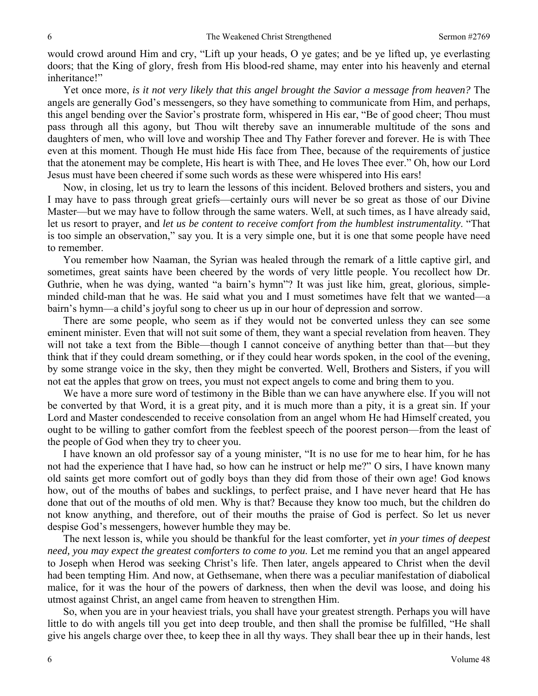would crowd around Him and cry, "Lift up your heads, O ye gates; and be ye lifted up, ye everlasting doors; that the King of glory, fresh from His blood-red shame, may enter into his heavenly and eternal inheritance!"

Yet once more, *is it not very likely that this angel brought the Savior a message from heaven?* The angels are generally God's messengers, so they have something to communicate from Him, and perhaps, this angel bending over the Savior's prostrate form, whispered in His ear, "Be of good cheer; Thou must pass through all this agony, but Thou wilt thereby save an innumerable multitude of the sons and daughters of men, who will love and worship Thee and Thy Father forever and forever. He is with Thee even at this moment. Though He must hide His face from Thee, because of the requirements of justice that the atonement may be complete, His heart is with Thee, and He loves Thee ever." Oh, how our Lord Jesus must have been cheered if some such words as these were whispered into His ears!

Now, in closing, let us try to learn the lessons of this incident. Beloved brothers and sisters, you and I may have to pass through great griefs—certainly ours will never be so great as those of our Divine Master—but we may have to follow through the same waters. Well, at such times, as I have already said, let us resort to prayer, and *let us be content to receive comfort from the humblest instrumentality*. "That is too simple an observation," say you. It is a very simple one, but it is one that some people have need to remember.

You remember how Naaman, the Syrian was healed through the remark of a little captive girl, and sometimes, great saints have been cheered by the words of very little people. You recollect how Dr. Guthrie, when he was dying, wanted "a bairn's hymn"? It was just like him, great, glorious, simpleminded child-man that he was. He said what you and I must sometimes have felt that we wanted—a bairn's hymn—a child's joyful song to cheer us up in our hour of depression and sorrow.

There are some people, who seem as if they would not be converted unless they can see some eminent minister. Even that will not suit some of them, they want a special revelation from heaven. They will not take a text from the Bible—though I cannot conceive of anything better than that—but they think that if they could dream something, or if they could hear words spoken, in the cool of the evening, by some strange voice in the sky, then they might be converted. Well, Brothers and Sisters, if you will not eat the apples that grow on trees, you must not expect angels to come and bring them to you.

We have a more sure word of testimony in the Bible than we can have anywhere else. If you will not be converted by that Word, it is a great pity, and it is much more than a pity, it is a great sin. If your Lord and Master condescended to receive consolation from an angel whom He had Himself created, you ought to be willing to gather comfort from the feeblest speech of the poorest person—from the least of the people of God when they try to cheer you.

I have known an old professor say of a young minister, "It is no use for me to hear him, for he has not had the experience that I have had, so how can he instruct or help me?" O sirs, I have known many old saints get more comfort out of godly boys than they did from those of their own age! God knows how, out of the mouths of babes and sucklings, to perfect praise, and I have never heard that He has done that out of the mouths of old men. Why is that? Because they know too much, but the children do not know anything, and therefore, out of their mouths the praise of God is perfect. So let us never despise God's messengers, however humble they may be.

The next lesson is, while you should be thankful for the least comforter, yet *in your times of deepest need, you may expect the greatest comforters to come to you*. Let me remind you that an angel appeared to Joseph when Herod was seeking Christ's life. Then later, angels appeared to Christ when the devil had been tempting Him. And now, at Gethsemane, when there was a peculiar manifestation of diabolical malice, for it was the hour of the powers of darkness, then when the devil was loose, and doing his utmost against Christ, an angel came from heaven to strengthen Him.

So, when you are in your heaviest trials, you shall have your greatest strength. Perhaps you will have little to do with angels till you get into deep trouble, and then shall the promise be fulfilled, "He shall give his angels charge over thee, to keep thee in all thy ways. They shall bear thee up in their hands, lest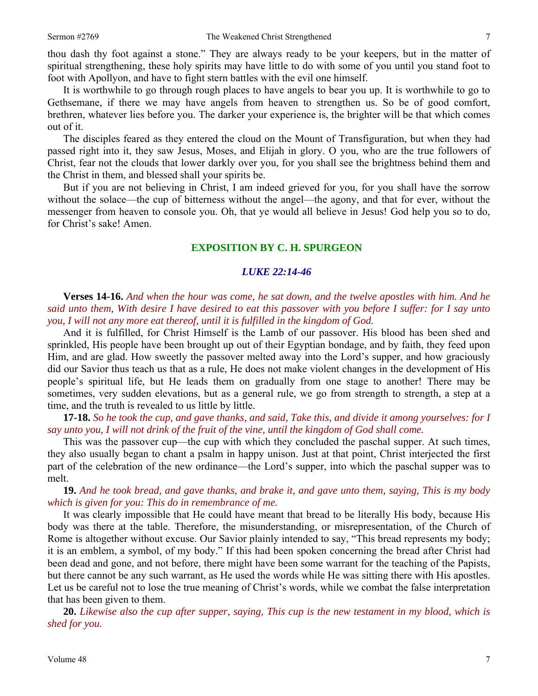thou dash thy foot against a stone." They are always ready to be your keepers, but in the matter of spiritual strengthening, these holy spirits may have little to do with some of you until you stand foot to foot with Apollyon, and have to fight stern battles with the evil one himself.

It is worthwhile to go through rough places to have angels to bear you up. It is worthwhile to go to Gethsemane, if there we may have angels from heaven to strengthen us. So be of good comfort, brethren, whatever lies before you. The darker your experience is, the brighter will be that which comes out of it.

The disciples feared as they entered the cloud on the Mount of Transfiguration, but when they had passed right into it, they saw Jesus, Moses, and Elijah in glory. O you, who are the true followers of Christ, fear not the clouds that lower darkly over you, for you shall see the brightness behind them and the Christ in them, and blessed shall your spirits be.

But if you are not believing in Christ, I am indeed grieved for you, for you shall have the sorrow without the solace—the cup of bitterness without the angel—the agony, and that for ever, without the messenger from heaven to console you. Oh, that ye would all believe in Jesus! God help you so to do, for Christ's sake! Amen.

### **EXPOSITION BY C. H. SPURGEON**

### *LUKE 22:14-46*

**Verses 14-16.** *And when the hour was come, he sat down, and the twelve apostles with him. And he said unto them, With desire I have desired to eat this passover with you before I suffer: for I say unto you, I will not any more eat thereof, until it is fulfilled in the kingdom of God.* 

And it is fulfilled, for Christ Himself is the Lamb of our passover. His blood has been shed and sprinkled, His people have been brought up out of their Egyptian bondage, and by faith, they feed upon Him, and are glad. How sweetly the passover melted away into the Lord's supper, and how graciously did our Savior thus teach us that as a rule, He does not make violent changes in the development of His people's spiritual life, but He leads them on gradually from one stage to another! There may be sometimes, very sudden elevations, but as a general rule, we go from strength to strength, a step at a time, and the truth is revealed to us little by little.

**17-18.** *So he took the cup, and gave thanks, and said, Take this, and divide it among yourselves: for I say unto you, I will not drink of the fruit of the vine, until the kingdom of God shall come.* 

This was the passover cup—the cup with which they concluded the paschal supper. At such times, they also usually began to chant a psalm in happy unison. Just at that point, Christ interjected the first part of the celebration of the new ordinance—the Lord's supper, into which the paschal supper was to melt.

**19.** *And he took bread, and gave thanks, and brake it, and gave unto them, saying, This is my body which is given for you: This do in remembrance of me.* 

It was clearly impossible that He could have meant that bread to be literally His body, because His body was there at the table. Therefore, the misunderstanding, or misrepresentation, of the Church of Rome is altogether without excuse. Our Savior plainly intended to say, "This bread represents my body; it is an emblem, a symbol, of my body." If this had been spoken concerning the bread after Christ had been dead and gone, and not before, there might have been some warrant for the teaching of the Papists, but there cannot be any such warrant, as He used the words while He was sitting there with His apostles. Let us be careful not to lose the true meaning of Christ's words, while we combat the false interpretation that has been given to them.

**20.** *Likewise also the cup after supper, saying, This cup is the new testament in my blood, which is shed for you.*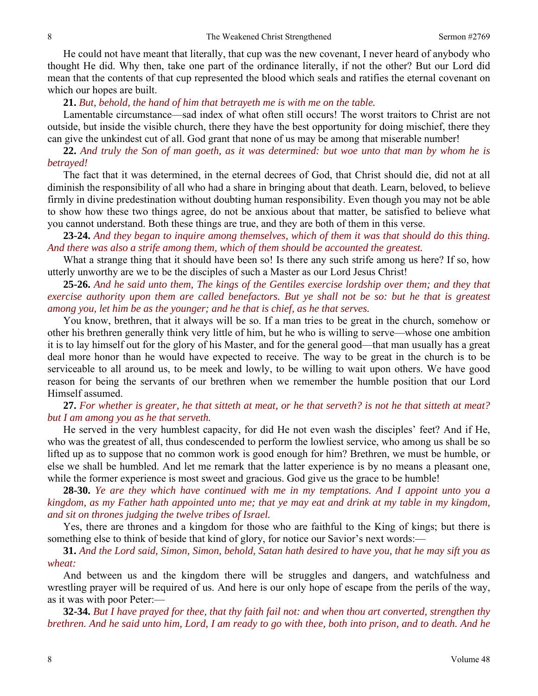He could not have meant that literally, that cup was the new covenant, I never heard of anybody who thought He did. Why then, take one part of the ordinance literally, if not the other? But our Lord did mean that the contents of that cup represented the blood which seals and ratifies the eternal covenant on which our hopes are built.

### **21.** *But, behold, the hand of him that betrayeth me is with me on the table.*

Lamentable circumstance—sad index of what often still occurs! The worst traitors to Christ are not outside, but inside the visible church, there they have the best opportunity for doing mischief, there they can give the unkindest cut of all. God grant that none of us may be among that miserable number!

**22.** *And truly the Son of man goeth, as it was determined: but woe unto that man by whom he is betrayed!* 

The fact that it was determined, in the eternal decrees of God, that Christ should die, did not at all diminish the responsibility of all who had a share in bringing about that death. Learn, beloved, to believe firmly in divine predestination without doubting human responsibility. Even though you may not be able to show how these two things agree, do not be anxious about that matter, be satisfied to believe what you cannot understand. Both these things are true, and they are both of them in this verse.

**23-24.** *And they began to inquire among themselves, which of them it was that should do this thing. And there was also a strife among them, which of them should be accounted the greatest.* 

What a strange thing that it should have been so! Is there any such strife among us here? If so, how utterly unworthy are we to be the disciples of such a Master as our Lord Jesus Christ!

**25-26.** *And he said unto them, The kings of the Gentiles exercise lordship over them; and they that exercise authority upon them are called benefactors. But ye shall not be so: but he that is greatest among you, let him be as the younger; and he that is chief, as he that serves.* 

You know, brethren, that it always will be so. If a man tries to be great in the church, somehow or other his brethren generally think very little of him, but he who is willing to serve—whose one ambition it is to lay himself out for the glory of his Master, and for the general good—that man usually has a great deal more honor than he would have expected to receive. The way to be great in the church is to be serviceable to all around us, to be meek and lowly, to be willing to wait upon others. We have good reason for being the servants of our brethren when we remember the humble position that our Lord Himself assumed.

## **27.** *For whether is greater, he that sitteth at meat, or he that serveth? is not he that sitteth at meat? but I am among you as he that serveth.*

He served in the very humblest capacity, for did He not even wash the disciples' feet? And if He, who was the greatest of all, thus condescended to perform the lowliest service, who among us shall be so lifted up as to suppose that no common work is good enough for him? Brethren, we must be humble, or else we shall be humbled. And let me remark that the latter experience is by no means a pleasant one, while the former experience is most sweet and gracious. God give us the grace to be humble!

**28-30.** *Ye are they which have continued with me in my temptations. And I appoint unto you a kingdom, as my Father hath appointed unto me; that ye may eat and drink at my table in my kingdom, and sit on thrones judging the twelve tribes of Israel.* 

Yes, there are thrones and a kingdom for those who are faithful to the King of kings; but there is something else to think of beside that kind of glory, for notice our Savior's next words:—

**31.** *And the Lord said, Simon, Simon, behold, Satan hath desired to have you, that he may sift you as wheat:* 

And between us and the kingdom there will be struggles and dangers, and watchfulness and wrestling prayer will be required of us. And here is our only hope of escape from the perils of the way, as it was with poor Peter:—

**32-34.** *But I have prayed for thee, that thy faith fail not: and when thou art converted, strengthen thy brethren. And he said unto him, Lord, I am ready to go with thee, both into prison, and to death. And he*